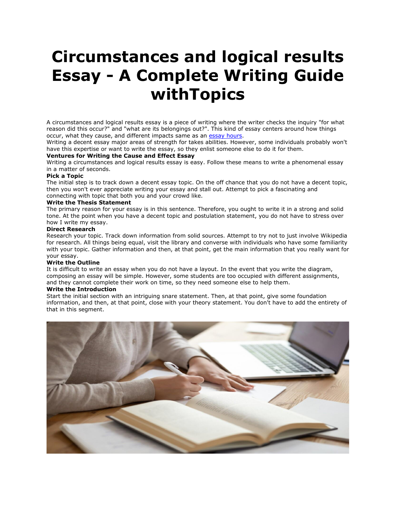# **Circumstances and logical results Essay - A Complete Writing Guide withTopics**

A circumstances and logical results essay is a piece of writing where the writer checks the inquiry "for what reason did this occur?" and "what are its belongings out?". This kind of essay centers around how things occur, what they cause, and different impacts same as an [essay hours.](https://essayhours.com/)

Writing a decent essay major areas of strength for takes abilities. However, some individuals probably won't have this expertise or want to write the essay, so they enlist someone else to do it for them.

# **Ventures for Writing the Cause and Effect Essay**

Writing a circumstances and logical results essay is easy. Follow these means to write a phenomenal essay in a matter of seconds.

## **Pick a Topic**

The initial step is to track down a decent essay topic. On the off chance that you do not have a decent topic, then you won't ever appreciate writing your essay and stall out. Attempt to pick a fascinating and connecting with topic that both you and your crowd like.

## **Write the Thesis Statement**

The primary reason for your essay is in this sentence. Therefore, you ought to write it in a strong and solid tone. At the point when you have a decent topic and postulation statement, you do not have to stress over how I write my essay.

#### **Direct Research**

Research your topic. Track down information from solid sources. Attempt to try not to just involve Wikipedia for research. All things being equal, visit the library and converse with individuals who have some familiarity with your topic. Gather information and then, at that point, get the main information that you really want for your essay.

#### **Write the Outline**

It is difficult to write an essay when you do not have a layout. In the event that you write the diagram, composing an essay will be simple. However, some students are too occupied with different assignments, and they cannot complete their work on time, so they need someone else to help them.

## **Write the Introduction**

Start the initial section with an intriguing snare statement. Then, at that point, give some foundation information, and then, at that point, close with your theory statement. You don't have to add the entirety of that in this segment.